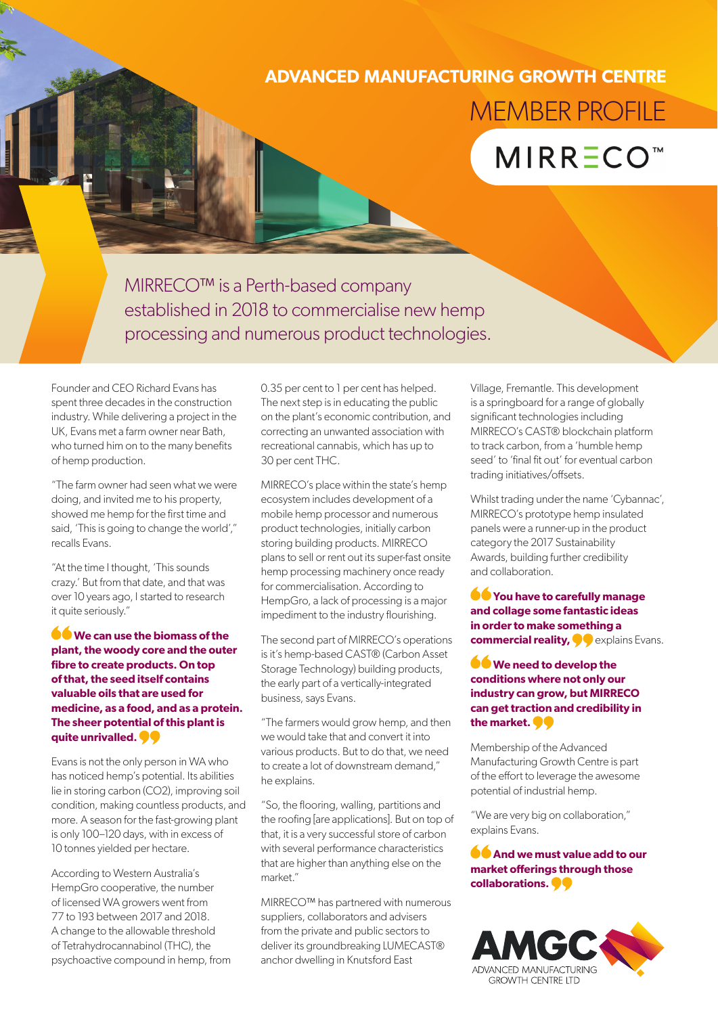# **ADVANCED MANUFACTURING GROWTH CENTRE** MEMBER PROFILE

# **MIRR ECO<sup>™</sup>**

MIRRECO™ is a Perth-based company established in 2018 to commercialise new hemp processing and numerous product technologies.

Founder and CEO Richard Evans has spent three decades in the construction industry. While delivering a project in the UK, Evans met a farm owner near Bath, who turned him on to the many benefits of hemp production.

"The farm owner had seen what we were doing, and invited me to his property, showed me hemp for the first time and said, 'This is going to change the world'," recalls Evans.

"At the time I thought, 'This sounds crazy.' But from that date, and that was over 10 years ago, I started to research it quite seriously."

#### **We can use the biomass of the plant, the woody core and the outer fibre to create products. On top of that, the seed itself contains valuable oils that are used for medicine, as a food, and as a protein. The sheer potential of this plant is quite unrivalled.**

Evans is not the only person in WA who has noticed hemp's potential. Its abilities lie in storing carbon (CO2), improving soil condition, making countless products, and more. A season for the fast-growing plant is only 100–120 days, with in excess of 10 tonnes yielded per hectare.

According to Western Australia's HempGro cooperative, the number of licensed WA growers went from 77 to 193 between 2017 and 2018. A change to the allowable threshold of Tetrahydrocannabinol (THC), the psychoactive compound in hemp, from 0.35 per cent to 1 per cent has helped. The next step is in educating the public on the plant's economic contribution, and correcting an unwanted association with recreational cannabis, which has up to 30 per cent THC.

MIRRECO's place within the state's hemp ecosystem includes development of a mobile hemp processor and numerous product technologies, initially carbon storing building products. MIRRECO plans to sell or rent out its super-fast onsite hemp processing machinery once ready for commercialisation. According to HempGro, a lack of processing is a major impediment to the industry flourishing.

The second part of MIRRECO's operations is it's hemp-based CAST® (Carbon Asset Storage Technology) building products, the early part of a vertically-integrated business, says Evans.

"The farmers would grow hemp, and then we would take that and convert it into various products. But to do that, we need to create a lot of downstream demand," he explains.

"So, the flooring, walling, partitions and the roofing [are applications]. But on top of that, it is a very successful store of carbon with several performance characteristics that are higher than anything else on the market."

MIRRECO™ has partnered with numerous suppliers, collaborators and advisers from the private and public sectors to deliver its groundbreaking LUMECAST® anchor dwelling in Knutsford East

Village, Fremantle. This development is a springboard for a range of globally significant technologies including MIRRECO's CAST® blockchain platform to track carbon, from a 'humble hemp seed' to 'final fit out' for eventual carbon trading initiatives/offsets.

Whilst trading under the name 'Cybannac', MIRRECO's prototype hemp insulated panels were a runner-up in the product category the 2017 Sustainability Awards, building further credibility and collaboration.

**You have to carefully manage and collage some fantastic ideas in order to make something a commercial reality,**  $\bullet$  explains Evans.

### **We need to develop the conditions where not only our industry can grow, but MIRRECO can get traction and credibility in the market.**

Membership of the Advanced Manufacturing Growth Centre is part of the effort to leverage the awesome potential of industrial hemp.

"We are very big on collaboration," explains Evans.

## **And we must value add to our market offerings through those collaborations.**